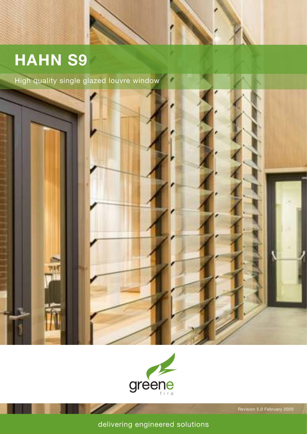# **HAHN S9**

High quality single glazed louvre window





Revision 5.0 February 2020

delivering engineered solutions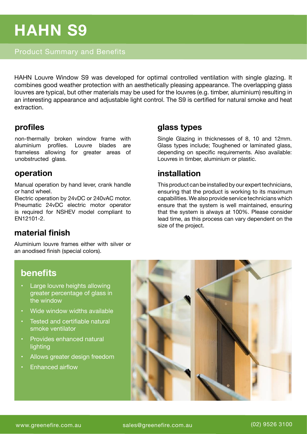# **HAHN S9**

### Product Summary and Benefits

HAHN Louvre Window S9 was developed for optimal controlled ventilation with single glazing. It combines good weather protection with an aesthetically pleasing appearance. The overlapping glass louvres are typical, but other materials may be used for the louvres (e.g. timber, aluminium) resulting in an interesting appearance and adjustable light control. The S9 is certified for natural smoke and heat extraction.

#### **profiles**

non-thermally broken window frame with aluminium profiles. Louvre blades are frameless allowing for greater areas of unobstructed glass.

#### **operation**

Manual operation by hand lever, crank handle or hand wheel.

Electric operation by 24vDC or 240vAC motor. Pneumatic 24vDC electric motor operator is required for NSHEV model compliant to EN12101-2.

## **material finish**

Aluminium louvre frames either with silver or an anodised finish (special colors).

#### **glass types**

Single Glazing in thicknesses of 8, 10 and 12mm. Glass types include; Toughened or laminated glass, depending on specific requirements. Also available: Louvres in timber, aluminium or plastic.

### **installation**

This product can be installed by our expert technicians, ensuring that the product is working to its maximum capabilities. We also provide service technicians which ensure that the system is well maintained, ensuring that the system is always at 100%. Please consider lead time, as this process can vary dependent on the size of the project.

# **benefits**

- Large louvre heights allowing greater percentage of glass in the window
- Wide window widths available
- Tested and certifiable natural smoke ventilator
- Provides enhanced natural lighting
- Allows greater design freedom
- Enhanced airflow

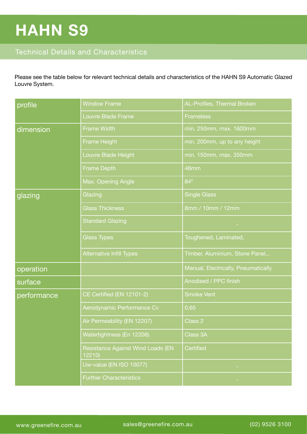# **HAHN S9**

### Technical Details and Characteristics

Please see the table below for relevant technical details and characteristics of the HAHN S9 Automatic Glazed Louvre System.

| profile     | <b>Window Frame</b>                        | AL-Profiles, Thermal Broken         |
|-------------|--------------------------------------------|-------------------------------------|
|             | Louvre Blade Frame                         | <b>Frameless</b>                    |
| dimension   | <b>Frame Width</b>                         | min. 250mm, max. 1600mm             |
|             | Frame Height                               | min. 200mm, up to any height        |
|             | Louvre Blade Height                        | min. 150mm, max. 350mm              |
|             | <b>Frame Depth</b>                         | 46mm                                |
|             | Max. Opening Angle                         | $84^{\circ}$                        |
| glazing     | Glazing                                    | <b>Single Glass</b>                 |
|             | <b>Glass Thickness</b>                     | 8mm / 10mm / 12mm                   |
|             | <b>Standard Glazing</b>                    |                                     |
|             | <b>Glass Types</b>                         | Toughened, Laminated,               |
|             | <b>Alternative Infill Types</b>            | Timber, Aluminium, Stone Panel      |
| operation   |                                            | Manual, Electrically, Pneumatically |
| surface     |                                            | Anodised / PPC finish               |
| performance | CE Certified (EN 12101-2)                  | <b>Smoke Vent</b>                   |
|             | Aerodynamic Performance Cv                 | 0,65                                |
|             | Air Permeability (EN 12207)                | Class 2                             |
|             | Watertightness (En 12208)                  | Class 3A                            |
|             | Resistance Against Wind Loads (EN<br>12210 | <b>Certified</b>                    |
|             | Uw-value (EN ISO 10077)                    |                                     |
|             | <b>Further Characteristics</b>             |                                     |